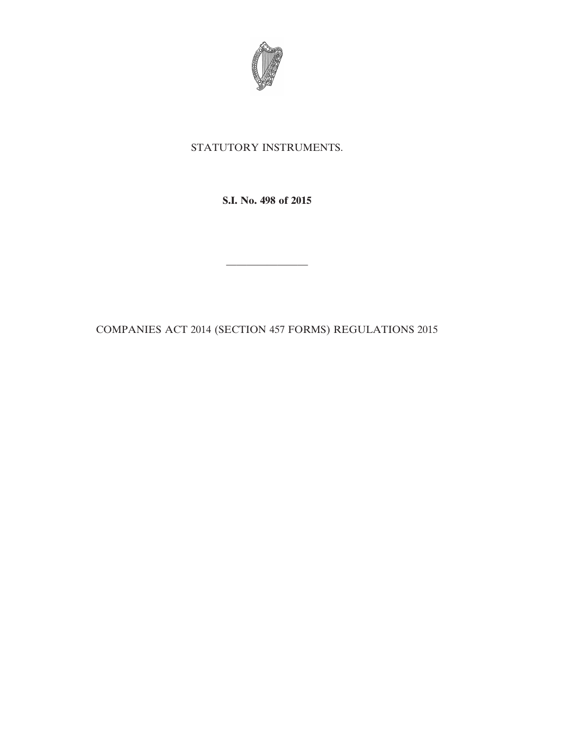

# STATUTORY INSTRUMENTS.

**S.I. No. 498 of 2015**

COMPANIES ACT 2014 (SECTION 457 FORMS) REGULATIONS 2015

————————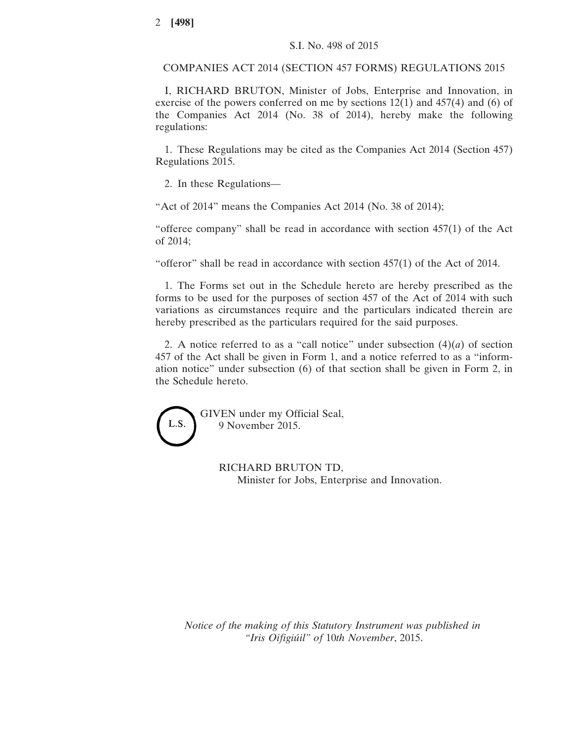COMPANIES ACT 2014 (SECTION 457 FORMS) REGULATIONS 2015

I, RICHARD BRUTON, Minister of Jobs, Enterprise and Innovation, in exercise of the powers conferred on me by sections 12(1) and 457(4) and (6) of the Companies Act 2014 (No. 38 of 2014), hereby make the following regulations:

1. These Regulations may be cited as the Companies Act 2014 (Section 457) Regulations 2015.

2. In these Regulations—

"Act of 2014" means the Companies Act 2014 (No. 38 of 2014);

"offeree company" shall be read in accordance with section  $457(1)$  of the Act of 2014;

"offeror" shall be read in accordance with section 457(1) of the Act of 2014.

1. The Forms set out in the Schedule hereto are hereby prescribed as the forms to be used for the purposes of section 457 of the Act of 2014 with such variations as circumstances require and the particulars indicated therein are hereby prescribed as the particulars required for the said purposes.

2. A notice referred to as a "call notice" under subsection  $(4)(a)$  of section 457 of the Act shall be given in Form 1, and a notice referred to as a "information notice" under subsection (6) of that section shall be given in Form 2, in the Schedule hereto.

GIVEN under my Official Seal, L.S. 9 November 2015.

RICHARD BRUTON TD,

Minister for Jobs, Enterprise and Innovation.

*Notice of the making of this Statutory Instrument was published in "Iris Oifigiúil" of* 10*th November*, 2015.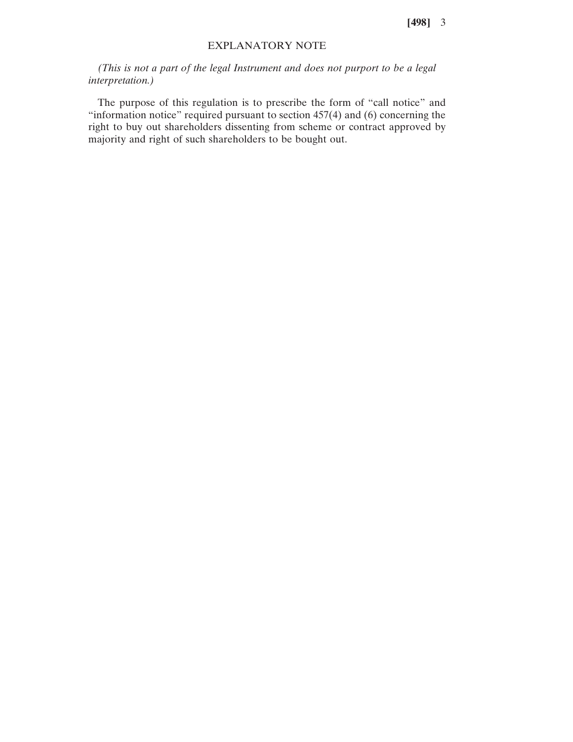**[498]** 3

# EXPLANATORY NOTE

*(This is not a part of the legal Instrument and does not purport to be a legal interpretation.)*

The purpose of this regulation is to prescribe the form of "call notice" and "information notice" required pursuant to section  $457(4)$  and  $(6)$  concerning the right to buy out shareholders dissenting from scheme or contract approved by majority and right of such shareholders to be bought out.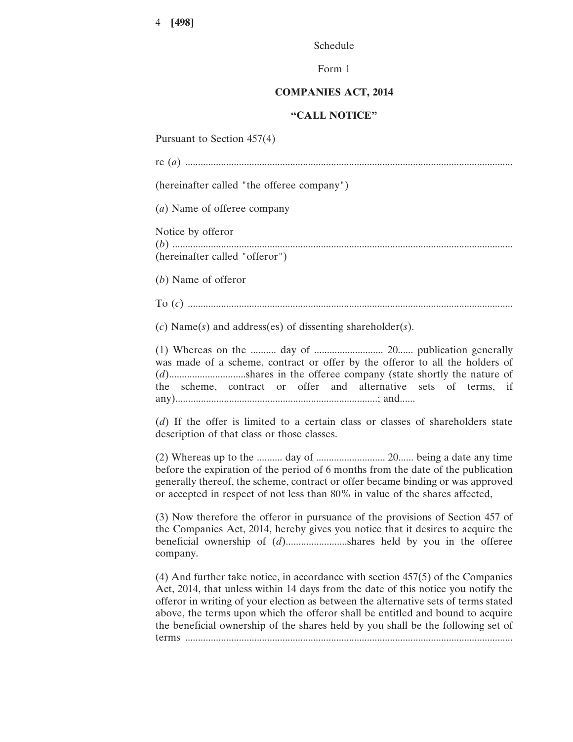Schedule

Form 1

# **COMPANIES ACT, 2014**

## **"CALL NOTICE"**

Pursuant to Section 457(4)

re (*a*) ................................................................................................................................ (hereinafter called "the offeree company") (*a*) Name of offeree company Notice by offeror (*b*) ..................................................................................................................................... (hereinafter called "offeror") (*b*) Name of offeror To (*c*) ............................................................................................................................... (*c*) Name(*s*) and address(es) of dissenting shareholder(*s*). (1) Whereas on the .......... day of ........................... 20...... publication generally was made of a scheme, contract or offer by the offeror to all the holders of (*d*)..............................shares in the offeree company (state shortly the nature of the scheme, contract or offer and alternative sets of terms, if any)...............................................................................; and...... (*d*) If the offer is limited to a certain class or classes of shareholders state description of that class or those classes. (2) Whereas up to the .......... day of ........................... 20...... being a date any time before the expiration of the period of 6 months from the date of the publication generally thereof, the scheme, contract or offer became binding or was approved or accepted in respect of not less than 80% in value of the shares affected,

(3) Now therefore the offeror in pursuance of the provisions of Section 457 of the Companies Act, 2014, hereby gives you notice that it desires to acquire the beneficial ownership of (*d*)........................shares held by you in the offeree company.

(4) And further take notice, in accordance with section 457(5) of the Companies Act, 2014, that unless within 14 days from the date of this notice you notify the offeror in writing of your election as between the alternative sets of terms stated above, the terms upon which the offeror shall be entitled and bound to acquire the beneficial ownership of the shares held by you shall be the following set of terms ................................................................................................................................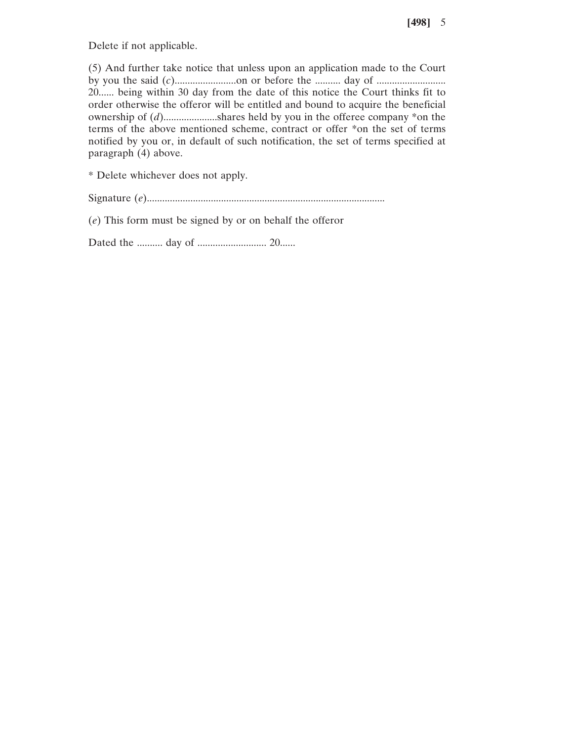Delete if not applicable.

(5) And further take notice that unless upon an application made to the Court by you the said (*c*)........................on or before the .......... day of ........................... 20...... being within 30 day from the date of this notice the Court thinks fit to order otherwise the offeror will be entitled and bound to acquire the beneficial ownership of (*d*).....................shares held by you in the offeree company \*on the terms of the above mentioned scheme, contract or offer \*on the set of terms notified by you or, in default of such notification, the set of terms specified at paragraph (4) above.

\* Delete whichever does not apply.

Signature (*e*).............................................................................................

(*e*) This form must be signed by or on behalf the offeror

Dated the .......... day of ........................... 20......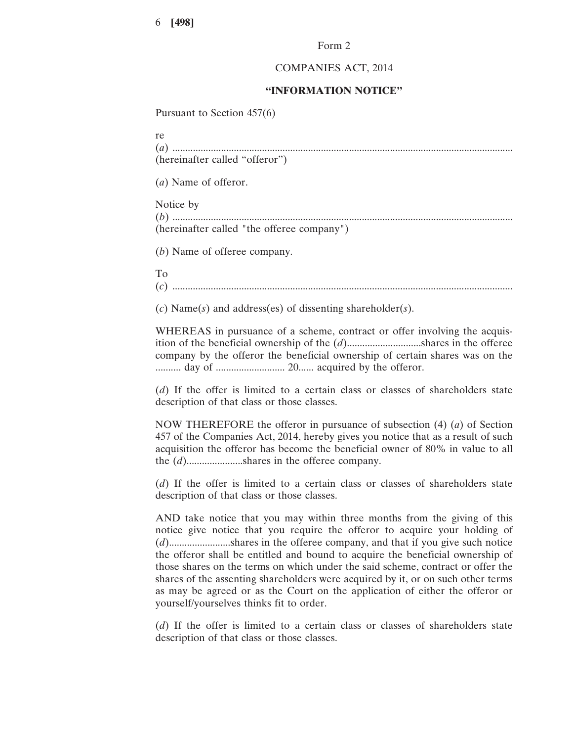6 **[498]**

#### Form 2

## COMPANIES ACT, 2014

## **"INFORMATION NOTICE"**

Pursuant to Section 457(6)

re (*a*) ..................................................................................................................................... (hereinafter called "offeror")

(*a*) Name of offeror.

Notice by

| (b)                                        |  |  |  |  |  |  |  |  |  |  |  |  |  |  |  |  |  |  |  |  |  |  |  |  |  |  |  |  |  |  |  |  |
|--------------------------------------------|--|--|--|--|--|--|--|--|--|--|--|--|--|--|--|--|--|--|--|--|--|--|--|--|--|--|--|--|--|--|--|--|
| (hereinafter called "the offeree company") |  |  |  |  |  |  |  |  |  |  |  |  |  |  |  |  |  |  |  |  |  |  |  |  |  |  |  |  |  |  |  |  |

(*b*) Name of offeree company.

To

(*c*) .....................................................................................................................................

(*c*) Name(*s*) and address(es) of dissenting shareholder(*s*).

WHEREAS in pursuance of a scheme, contract or offer involving the acquisition of the beneficial ownership of the (*d*).............................shares in the offeree company by the offeror the beneficial ownership of certain shares was on the .......... day of ........................... 20...... acquired by the offeror.

(*d*) If the offer is limited to a certain class or classes of shareholders state description of that class or those classes.

NOW THEREFORE the offeror in pursuance of subsection (4) (*a*) of Section 457 of the Companies Act, 2014, hereby gives you notice that as a result of such acquisition the offeror has become the beneficial owner of 80% in value to all the (*d*)......................shares in the offeree company.

(*d*) If the offer is limited to a certain class or classes of shareholders state description of that class or those classes.

AND take notice that you may within three months from the giving of this notice give notice that you require the offeror to acquire your holding of (*d*)........................shares in the offeree company, and that if you give such notice the offeror shall be entitled and bound to acquire the beneficial ownership of those shares on the terms on which under the said scheme, contract or offer the shares of the assenting shareholders were acquired by it, or on such other terms as may be agreed or as the Court on the application of either the offeror or yourself/yourselves thinks fit to order.

(*d*) If the offer is limited to a certain class or classes of shareholders state description of that class or those classes.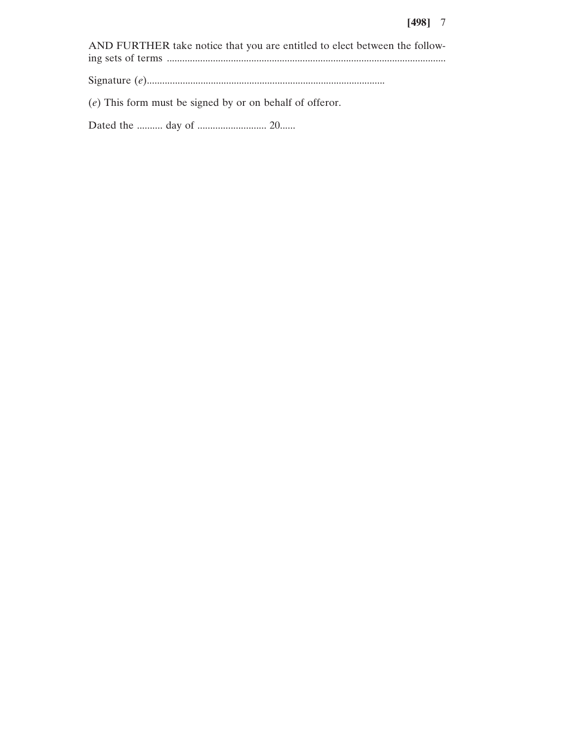## **[498]** 7

AND FURTHER take notice that you are entitled to elect between the following sets of terms ............................................................................................................. Signature (*e*).............................................................................................

(*e*) This form must be signed by or on behalf of offeror.

Dated the .......... day of ........................... 20......